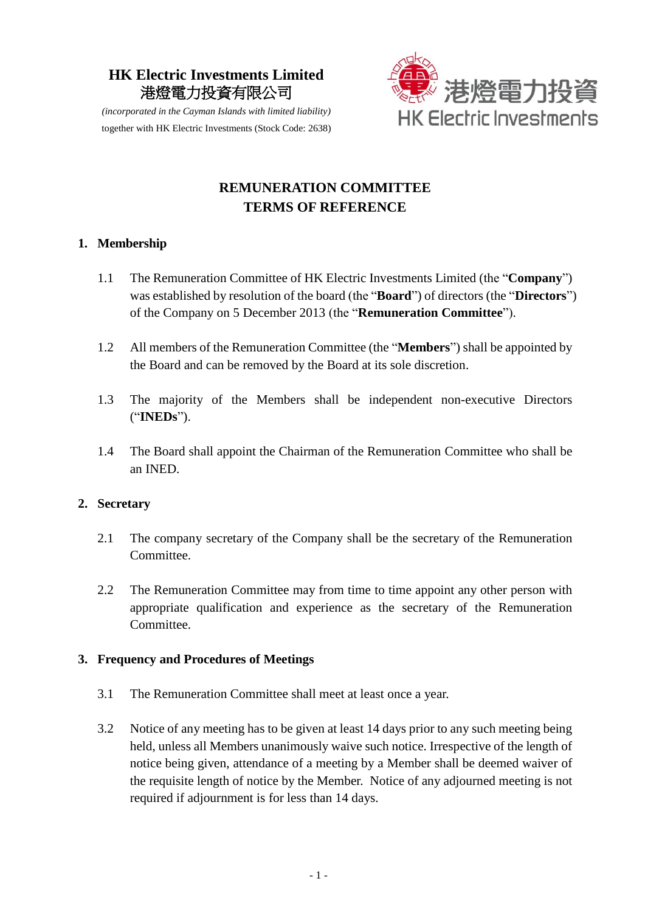## **HK Electric Investments Limited**  港燈電力投資有限公司



*(incorporated in the Cayman Islands with limited liability)*  together with HK Electric Investments (Stock Code: 2638)

# **REMUNERATION COMMITTEE TERMS OF REFERENCE**

## **1. Membership**

- 1.1 The Remuneration Committee of HK Electric Investments Limited (the "**Company**") was established by resolution of the board (the "**Board**") of directors (the "**Directors**") of the Company on 5 December 2013 (the "**Remuneration Committee**").
- 1.2 All members of the Remuneration Committee (the "**Members**") shall be appointed by the Board and can be removed by the Board at its sole discretion.
- 1.3 The majority of the Members shall be independent non-executive Directors ("**INEDs**").
- 1.4 The Board shall appoint the Chairman of the Remuneration Committee who shall be an INED.

## **2. Secretary**

- 2.1 The company secretary of the Company shall be the secretary of the Remuneration Committee.
- 2.2 The Remuneration Committee may from time to time appoint any other person with appropriate qualification and experience as the secretary of the Remuneration Committee.

## **3. Frequency and Procedures of Meetings**

- 3.1 The Remuneration Committee shall meet at least once a year.
- 3.2 Notice of any meeting has to be given at least 14 days prior to any such meeting being held, unless all Members unanimously waive such notice. Irrespective of the length of notice being given, attendance of a meeting by a Member shall be deemed waiver of the requisite length of notice by the Member. Notice of any adjourned meeting is not required if adjournment is for less than 14 days.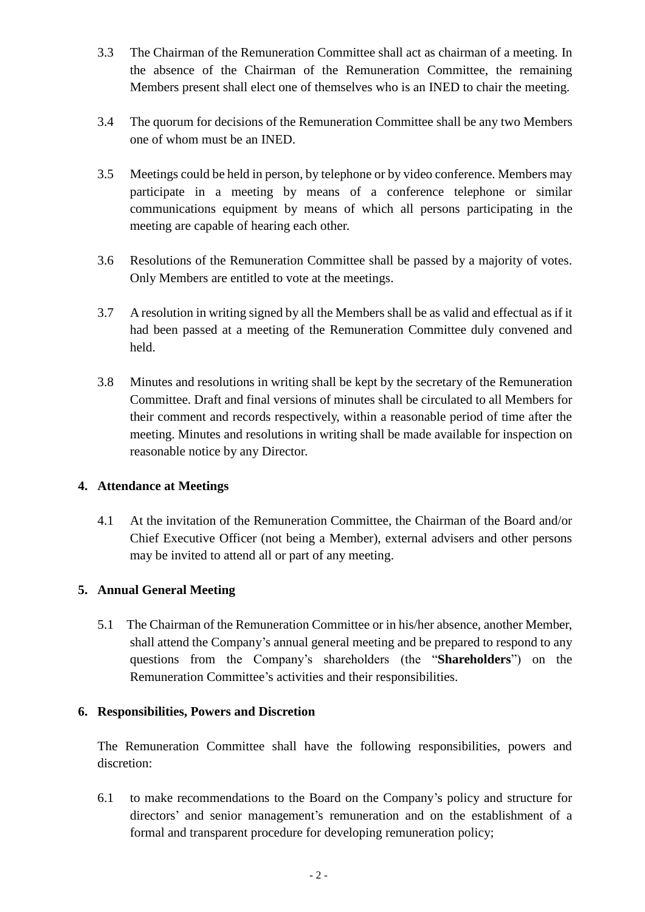- 3.3 The Chairman of the Remuneration Committee shall act as chairman of a meeting. In the absence of the Chairman of the Remuneration Committee, the remaining Members present shall elect one of themselves who is an INED to chair the meeting.
- 3.4 The quorum for decisions of the Remuneration Committee shall be any two Members one of whom must be an INED.
- 3.5 Meetings could be held in person, by telephone or by video conference. Members may participate in a meeting by means of a conference telephone or similar communications equipment by means of which all persons participating in the meeting are capable of hearing each other.
- 3.6 Resolutions of the Remuneration Committee shall be passed by a majority of votes. Only Members are entitled to vote at the meetings.
- 3.7 A resolution in writing signed by all the Members shall be as valid and effectual as if it had been passed at a meeting of the Remuneration Committee duly convened and held.
- 3.8 Minutes and resolutions in writing shall be kept by the secretary of the Remuneration Committee. Draft and final versions of minutes shall be circulated to all Members for their comment and records respectively, within a reasonable period of time after the meeting. Minutes and resolutions in writing shall be made available for inspection on reasonable notice by any Director.

## **4. Attendance at Meetings**

4.1 At the invitation of the Remuneration Committee, the Chairman of the Board and/or Chief Executive Officer (not being a Member), external advisers and other persons may be invited to attend all or part of any meeting.

## **5. Annual General Meeting**

5.1 The Chairman of the Remuneration Committee or in his/her absence, another Member, shall attend the Company's annual general meeting and be prepared to respond to any questions from the Company's shareholders (the "**Shareholders**") on the Remuneration Committee's activities and their responsibilities.

## **6. Responsibilities, Powers and Discretion**

The Remuneration Committee shall have the following responsibilities, powers and discretion:

6.1 to make recommendations to the Board on the Company's policy and structure for directors' and senior management's remuneration and on the establishment of a formal and transparent procedure for developing remuneration policy;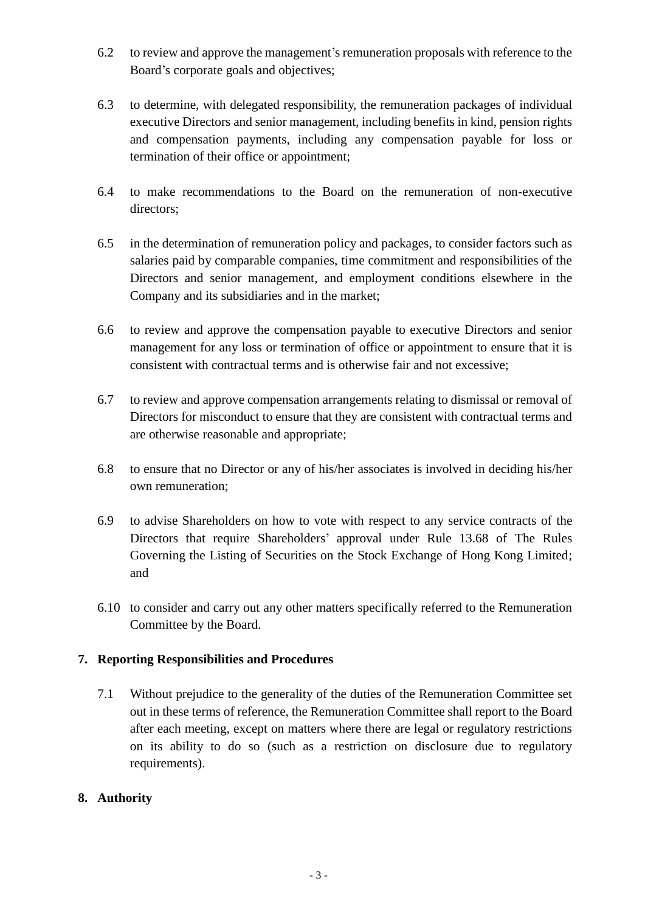- 6.2 to review and approve the management's remuneration proposals with reference to the Board's corporate goals and objectives;
- 6.3 to determine, with delegated responsibility, the remuneration packages of individual executive Directors and senior management, including benefits in kind, pension rights and compensation payments, including any compensation payable for loss or termination of their office or appointment;
- 6.4 to make recommendations to the Board on the remuneration of non-executive directors;
- 6.5 in the determination of remuneration policy and packages, to consider factors such as salaries paid by comparable companies, time commitment and responsibilities of the Directors and senior management, and employment conditions elsewhere in the Company and its subsidiaries and in the market;
- 6.6 to review and approve the compensation payable to executive Directors and senior management for any loss or termination of office or appointment to ensure that it is consistent with contractual terms and is otherwise fair and not excessive;
- 6.7 to review and approve compensation arrangements relating to dismissal or removal of Directors for misconduct to ensure that they are consistent with contractual terms and are otherwise reasonable and appropriate;
- 6.8 to ensure that no Director or any of his/her associates is involved in deciding his/her own remuneration;
- 6.9 to advise Shareholders on how to vote with respect to any service contracts of the Directors that require Shareholders' approval under Rule 13.68 of The Rules Governing the Listing of Securities on the Stock Exchange of Hong Kong Limited; and
- 6.10 to consider and carry out any other matters specifically referred to the Remuneration Committee by the Board.

## **7. Reporting Responsibilities and Procedures**

7.1 Without prejudice to the generality of the duties of the Remuneration Committee set out in these terms of reference, the Remuneration Committee shall report to the Board after each meeting, except on matters where there are legal or regulatory restrictions on its ability to do so (such as a restriction on disclosure due to regulatory requirements).

## **8. Authority**